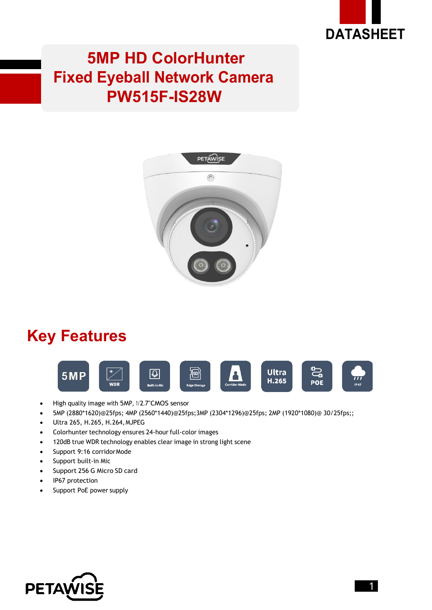

#### **5MP HD ColorHunter Fixed Eyeball Network Camera PW515F-IS28W**



## **Key Features**



- High quality image with 5MP, 1/2.7"CMOS sensor
- 5MP (2880\*1620)@25fps; 4MP (2560\*1440)@25fps;3MP (2304\*1296)@25fps; 2MP (1920\*1080)@ 30/25fps;;
- Ultra 265, H.265, H.264,MJPEG
- Colorhunter technology ensures 24-hour full-color images
- 120dB true WDR technology enables clear image in strong light scene
- Support 9:16 corridorMode
- Support built-in Mic
- Support 256 G Micro SD card
- IP67 protection
- Support PoE power supply

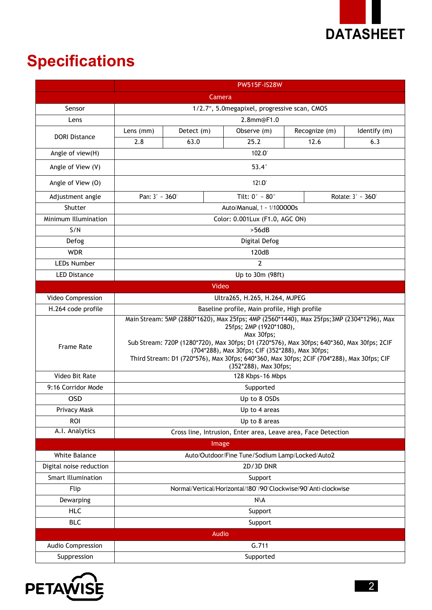

# **Specifications**

|                           | <b>PW515F-IS28W</b>                                                                                                                                                                                                                                                                                                                                                                                      |            |                                   |                   |              |  |
|---------------------------|----------------------------------------------------------------------------------------------------------------------------------------------------------------------------------------------------------------------------------------------------------------------------------------------------------------------------------------------------------------------------------------------------------|------------|-----------------------------------|-------------------|--------------|--|
|                           |                                                                                                                                                                                                                                                                                                                                                                                                          |            | Camera                            |                   |              |  |
| Sensor                    | 1/2.7", 5.0 megapixel, progressive scan, CMOS                                                                                                                                                                                                                                                                                                                                                            |            |                                   |                   |              |  |
| Lens                      | 2.8mm@F1.0                                                                                                                                                                                                                                                                                                                                                                                               |            |                                   |                   |              |  |
| <b>DORI Distance</b>      | Lens (mm)                                                                                                                                                                                                                                                                                                                                                                                                | Detect (m) | Observe (m)                       | Recognize (m)     | Identify (m) |  |
|                           | 2.8                                                                                                                                                                                                                                                                                                                                                                                                      | 63.0       | 25.2                              | 12.6              | 6.3          |  |
| Angle of view(H)          |                                                                                                                                                                                                                                                                                                                                                                                                          |            | $102.0^\circ$                     |                   |              |  |
| Angle of View (V)         | $53.4^\circ$                                                                                                                                                                                                                                                                                                                                                                                             |            |                                   |                   |              |  |
| Angle of View (O)         |                                                                                                                                                                                                                                                                                                                                                                                                          |            | $121.0^\circ$                     |                   |              |  |
| Adjustment angle          | Pan: 3° ~ 360°                                                                                                                                                                                                                                                                                                                                                                                           |            | Tilt: $0^{\circ}$ ~ 80 $^{\circ}$ | Rotate: 3° ~ 360° |              |  |
| Shutter                   | Auto/Manual, 1 ~ 1/100000s                                                                                                                                                                                                                                                                                                                                                                               |            |                                   |                   |              |  |
| Minimum Illumination      | Color: 0.001Lux (F1.0, AGC ON)                                                                                                                                                                                                                                                                                                                                                                           |            |                                   |                   |              |  |
| S/N                       | >56dB                                                                                                                                                                                                                                                                                                                                                                                                    |            |                                   |                   |              |  |
| Defog                     | Digital Defog                                                                                                                                                                                                                                                                                                                                                                                            |            |                                   |                   |              |  |
| <b>WDR</b>                | 120dB                                                                                                                                                                                                                                                                                                                                                                                                    |            |                                   |                   |              |  |
| <b>LEDs Number</b>        | $\overline{2}$                                                                                                                                                                                                                                                                                                                                                                                           |            |                                   |                   |              |  |
| <b>LED Distance</b>       | Up to 30m (98ft)                                                                                                                                                                                                                                                                                                                                                                                         |            |                                   |                   |              |  |
|                           |                                                                                                                                                                                                                                                                                                                                                                                                          |            | Video                             |                   |              |  |
| Video Compression         | Ultra265, H.265, H.264, MJPEG                                                                                                                                                                                                                                                                                                                                                                            |            |                                   |                   |              |  |
| H.264 code profile        | Baseline profile, Main profile, High profile                                                                                                                                                                                                                                                                                                                                                             |            |                                   |                   |              |  |
| <b>Frame Rate</b>         | Main Stream: 5MP (2880*1620), Max 25fps; 4MP (2560*1440), Max 25fps; 3MP (2304*1296), Max<br>25fps; 2MP (1920*1080),<br>Max 30fps;<br>Sub Stream: 720P (1280*720), Max 30fps; D1 (720*576), Max 30fps; 640*360, Max 30fps; 2CIF<br>(704*288), Max 30fps; CIF (352*288), Max 30fps;<br>Third Stream: D1 (720*576), Max 30fps; 640*360, Max 30fps; 2CIF (704*288), Max 30fps; CIF<br>(352*288), Max 30fps; |            |                                   |                   |              |  |
| Video Bit Rate            | 128 Kbps~16 Mbps                                                                                                                                                                                                                                                                                                                                                                                         |            |                                   |                   |              |  |
| 9:16 Corridor Mode        | Supported                                                                                                                                                                                                                                                                                                                                                                                                |            |                                   |                   |              |  |
| <b>OSD</b>                | Up to 8 OSDs                                                                                                                                                                                                                                                                                                                                                                                             |            |                                   |                   |              |  |
| Privacy Mask              | Up to 4 areas                                                                                                                                                                                                                                                                                                                                                                                            |            |                                   |                   |              |  |
| <b>ROI</b>                | Up to 8 areas                                                                                                                                                                                                                                                                                                                                                                                            |            |                                   |                   |              |  |
| A.I. Analytics            | Cross line, Intrusion, Enter area, Leave area, Face Detection                                                                                                                                                                                                                                                                                                                                            |            |                                   |                   |              |  |
|                           |                                                                                                                                                                                                                                                                                                                                                                                                          |            | Image                             |                   |              |  |
| White Balance             | Auto/Outdoor/Fine Tune/Sodium Lamp/Locked/Auto2                                                                                                                                                                                                                                                                                                                                                          |            |                                   |                   |              |  |
| Digital noise reduction   | 2D/3D DNR                                                                                                                                                                                                                                                                                                                                                                                                |            |                                   |                   |              |  |
| <b>Smart Illumination</b> | Support                                                                                                                                                                                                                                                                                                                                                                                                  |            |                                   |                   |              |  |
| Flip                      | Normal/Vertical/Horizontal/180°/90°Clockwise/90°Anti-clockwise                                                                                                                                                                                                                                                                                                                                           |            |                                   |                   |              |  |
| Dewarping                 | N\A                                                                                                                                                                                                                                                                                                                                                                                                      |            |                                   |                   |              |  |
| <b>HLC</b>                | Support                                                                                                                                                                                                                                                                                                                                                                                                  |            |                                   |                   |              |  |
| <b>BLC</b>                | Support                                                                                                                                                                                                                                                                                                                                                                                                  |            |                                   |                   |              |  |
|                           |                                                                                                                                                                                                                                                                                                                                                                                                          |            | Audio                             |                   |              |  |
| Audio Compression         | G.711                                                                                                                                                                                                                                                                                                                                                                                                    |            |                                   |                   |              |  |
| Suppression               |                                                                                                                                                                                                                                                                                                                                                                                                          | Supported  |                                   |                   |              |  |

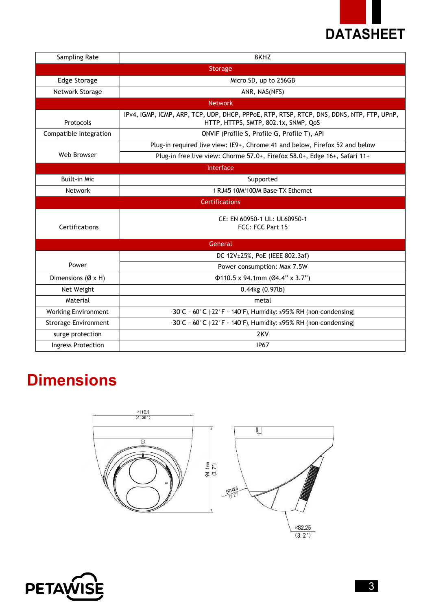

| Sampling Rate                 | 8KHZ                                                                                                                              |  |  |  |
|-------------------------------|-----------------------------------------------------------------------------------------------------------------------------------|--|--|--|
| Storage                       |                                                                                                                                   |  |  |  |
| Edge Storage                  | Micro SD, up to 256GB                                                                                                             |  |  |  |
| Network Storage               | ANR, NAS(NFS)                                                                                                                     |  |  |  |
| <b>Network</b>                |                                                                                                                                   |  |  |  |
| Protocols                     | IPv4, IGMP, ICMP, ARP, TCP, UDP, DHCP, PPPoE, RTP, RTSP, RTCP, DNS, DDNS, NTP, FTP, UPnP,<br>HTTP, HTTPS, SMTP, 802.1x, SNMP, QoS |  |  |  |
| Compatible Integration        | ONVIF (Profile S, Profile G, Profile T), API                                                                                      |  |  |  |
| Web Browser                   | Plug-in required live view: IE9+, Chrome 41 and below, Firefox 52 and below                                                       |  |  |  |
|                               | Plug-in free live view: Chorme 57.0+, Firefox 58.0+, Edge 16+, Safari 11+                                                         |  |  |  |
| Interface                     |                                                                                                                                   |  |  |  |
| <b>Built-in Mic</b>           | Supported                                                                                                                         |  |  |  |
| Network                       | 1 RJ45 10M/100M Base-TX Ethernet                                                                                                  |  |  |  |
| <b>Certifications</b>         |                                                                                                                                   |  |  |  |
| Certifications                | CE: EN 60950-1 UL: UL60950-1<br>FCC: FCC Part 15                                                                                  |  |  |  |
| General                       |                                                                                                                                   |  |  |  |
| Power                         | DC 12V±25%, PoE (IEEE 802.3af)                                                                                                    |  |  |  |
|                               | Power consumption: Max 7.5W                                                                                                       |  |  |  |
| Dimensions ( $\emptyset$ x H) | $\Phi$ 110.5 x 94.1mm (Ø4.4" x 3.7")                                                                                              |  |  |  |
| Net Weight                    | $0.44$ kg $(0.97$ lb)                                                                                                             |  |  |  |
| Material                      | metal                                                                                                                             |  |  |  |
| <b>Working Environment</b>    | -30°C ~ 60°C (-22°F ~ 140°F), Humidity: ≤95% RH (non-condensing)                                                                  |  |  |  |
| <b>Strorage Environment</b>   | $-30^{\circ}$ C ~ 60 $^{\circ}$ C ( $-22^{\circ}$ F ~ 140 $^{\circ}$ F), Humidity: ≤95% RH (non-condensing)                       |  |  |  |
| surge protection              | 2KV                                                                                                                               |  |  |  |
| Ingress Protection            | <b>IP67</b>                                                                                                                       |  |  |  |

## **Dimensions**